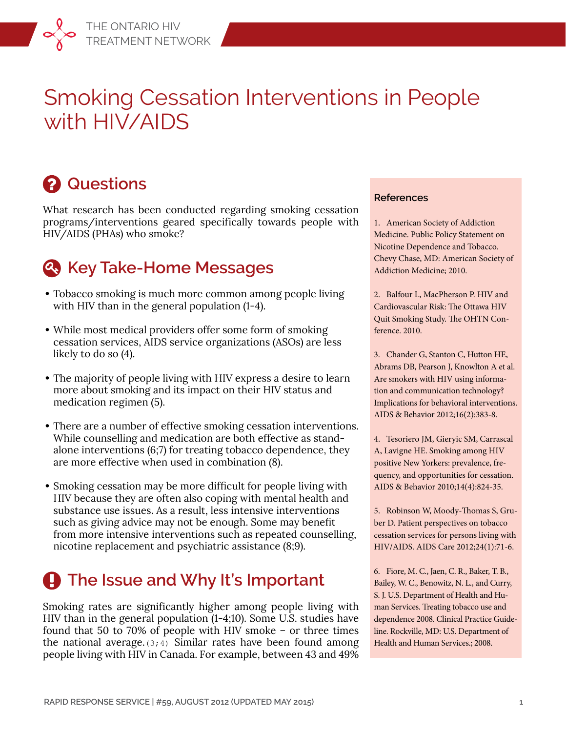# Smoking Cessation Interventions in People with HIV/AIDS

# **Q** Questions

What research has been conducted regarding smoking cessation programs/interventions geared specifically towards people with HIV/AIDS (PHAs) who smoke?

## **Key Take-Home Messages**

- **•** Tobacco smoking is much more common among people living with HIV than in the general population (1-4).
- **•** While most medical providers offer some form of smoking cessation services, AIDS service organizations (ASOs) are less likely to do so (4).
- **•** The majority of people living with HIV express a desire to learn more about smoking and its impact on their HIV status and medication regimen (5).
- **•** There are a number of effective smoking cessation interventions. While counselling and medication are both effective as standalone interventions (6;7) for treating tobacco dependence, they are more effective when used in combination (8).
- **•** Smoking cessation may be more difficult for people living with HIV because they are often also coping with mental health and substance use issues. As a result, less intensive interventions such as giving advice may not be enough. Some may benefit from more intensive interventions such as repeated counselling, nicotine replacement and psychiatric assistance (8;9).

# **A** The Issue and Why It's Important

Smoking rates are significantly higher among people living with HIV than in the general population (1-4;10). Some U.S. studies have found that 50 to 70% of people with HIV smoke – or three times the national average. $(3, 4)$  Similar rates have been found among people living with HIV in Canada. For example, between 43 and 49%

#### **References**

1. American Society of Addiction Medicine. Public Policy Statement on Nicotine Dependence and Tobacco. Chevy Chase, MD: American Society of Addiction Medicine; 2010.

2. Balfour L, MacPherson P. HIV and Cardiovascular Risk: The Ottawa HIV Quit Smoking Study. The OHTN Conference. 2010.

3. Chander G, Stanton C, Hutton HE, Abrams DB, Pearson J, Knowlton A et al. Are smokers with HIV using information and communication technology? Implications for behavioral interventions. AIDS & Behavior 2012;16(2):383-8.

4. Tesoriero JM, Gieryic SM, Carrascal A, Lavigne HE. Smoking among HIV positive New Yorkers: prevalence, frequency, and opportunities for cessation. AIDS & Behavior 2010;14(4):824-35.

5. Robinson W, Moody-Thomas S, Gruber D. Patient perspectives on tobacco cessation services for persons living with HIV/AIDS. AIDS Care 2012;24(1):71-6.

6. Fiore, M. C., Jaen, C. R., Baker, T. B., Bailey, W. C., Benowitz, N. L., and Curry, S. J. U.S. Department of Health and Human Services. Treating tobacco use and dependence 2008. Clinical Practice Guideline. Rockville, MD: U.S. Department of Health and Human Services.; 2008.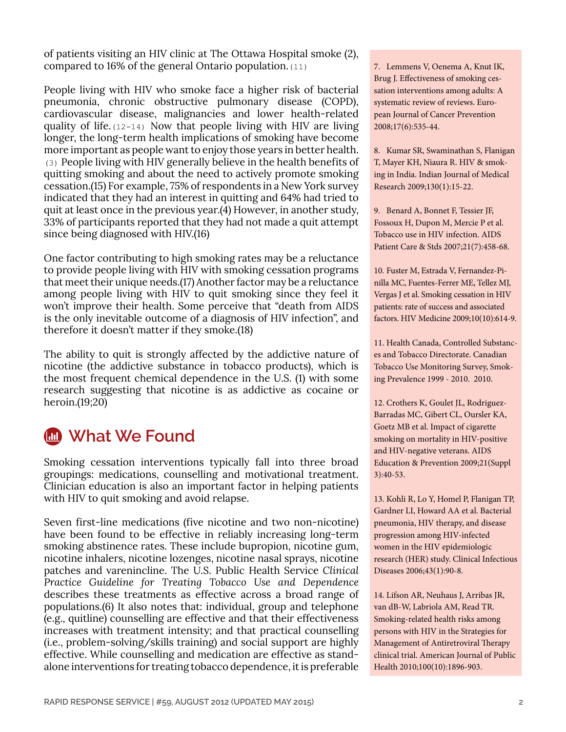of patients visiting an HIV clinic at The Ottawa Hospital smoke (2), compared to 16% of the general Ontario population.(11)

People living with HIV who smoke face a higher risk of bacterial pneumonia, chronic obstructive pulmonary disease (COPD), cardiovascular disease, malignancies and lower health-related quality of life.(12-14) Now that people living with HIV are living longer, the long-term health implications of smoking have become more important as people want to enjoy those years in better health. (3) People living with HIV generally believe in the health benefits of quitting smoking and about the need to actively promote smoking cessation.(15) For example, 75% of respondents in a New York survey indicated that they had an interest in quitting and 64% had tried to quit at least once in the previous year.(4) However, in another study, 33% of participants reported that they had not made a quit attempt since being diagnosed with HIV.(16)

One factor contributing to high smoking rates may be a reluctance to provide people living with HIV with smoking cessation programs that meet their unique needs.(17) Another factor may be a reluctance among people living with HIV to quit smoking since they feel it won't improve their health. Some perceive that "death from AIDS is the only inevitable outcome of a diagnosis of HIV infection", and therefore it doesn't matter if they smoke.(18)

The ability to quit is strongly affected by the addictive nature of nicotine (the addictive substance in tobacco products), which is the most frequent chemical dependence in the U.S. (1) with some research suggesting that nicotine is as addictive as cocaine or heroin.(19;20)

## **What We Found**

Smoking cessation interventions typically fall into three broad groupings: medications, counselling and motivational treatment. Clinician education is also an important factor in helping patients with HIV to quit smoking and avoid relapse.

Seven first-line medications (five nicotine and two non-nicotine) have been found to be effective in reliably increasing long-term smoking abstinence rates. These include bupropion, nicotine gum, nicotine inhalers, nicotine lozenges, nicotine nasal sprays, nicotine patches and varenincline. The U.S. Public Health Service *Clinical Practice Guideline for Treating Tobacco Use and Dependence*  describes these treatments as effective across a broad range of populations.(6) It also notes that: individual, group and telephone (e.g., quitline) counselling are effective and that their effectiveness increases with treatment intensity; and that practical counselling (i.e., problem-solving/skills training) and social support are highly effective. While counselling and medication are effective as standalone interventions for treating tobacco dependence, it is preferable 7. Lemmens V, Oenema A, Knut IK, Brug J. Effectiveness of smoking cessation interventions among adults: A systematic review of reviews. European Journal of Cancer Prevention 2008;17(6):535-44.

8. Kumar SR, Swaminathan S, Flanigan T, Mayer KH, Niaura R. HIV & smoking in India. Indian Journal of Medical Research 2009;130(1):15-22.

9. Benard A, Bonnet F, Tessier JF, Fossoux H, Dupon M, Mercie P et al. Tobacco use in HIV infection. AIDS Patient Care & Stds 2007;21(7):458-68.

10. Fuster M, Estrada V, Fernandez-Pinilla MC, Fuentes-Ferrer ME, Tellez MJ, Vergas J et al. Smoking cessation in HIV patients: rate of success and associated factors. HIV Medicine 2009;10(10):614-9.

11. Health Canada, Controlled Substances and Tobacco Directorate. Canadian Tobacco Use Monitoring Survey, Smoking Prevalence 1999 - 2010. 2010.

12. Crothers K, Goulet JL, Rodriguez-Barradas MC, Gibert CL, Oursler KA, Goetz MB et al. Impact of cigarette smoking on mortality in HIV-positive and HIV-negative veterans. AIDS Education & Prevention 2009;21(Suppl 3):40-53.

13. Kohli R, Lo Y, Homel P, Flanigan TP, Gardner LI, Howard AA et al. Bacterial pneumonia, HIV therapy, and disease progression among HIV-infected women in the HIV epidemiologic research (HER) study. Clinical Infectious Diseases 2006;43(1):90-8.

14. Lifson AR, Neuhaus J, Arribas JR, van dB-W, Labriola AM, Read TR. Smoking-related health risks among persons with HIV in the Strategies for Management of Antiretroviral Therapy clinical trial. American Journal of Public Health 2010;100(10):1896-903.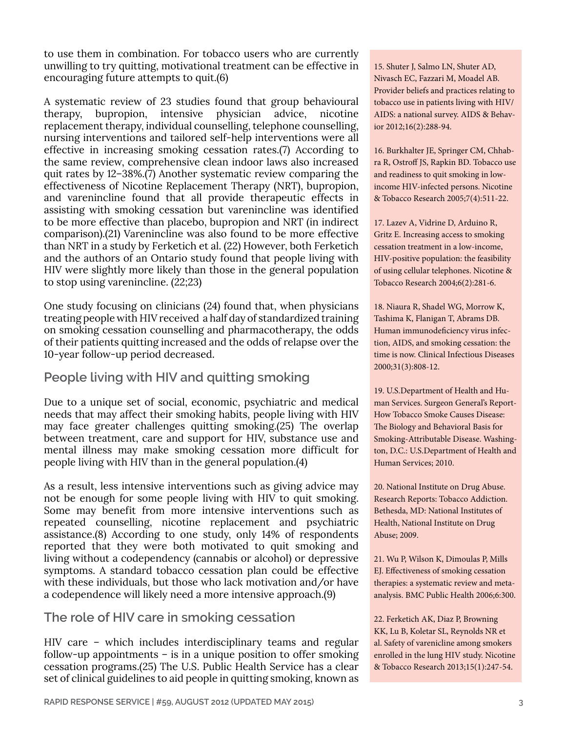to use them in combination. For tobacco users who are currently unwilling to try quitting, motivational treatment can be effective in encouraging future attempts to quit.(6)

A systematic review of 23 studies found that group behavioural therapy, bupropion, intensive physician advice, nicotine replacement therapy, individual counselling, telephone counselling, nursing interventions and tailored self-help interventions were all effective in increasing smoking cessation rates.(7) According to the same review, comprehensive clean indoor laws also increased quit rates by 12–38%.(7) Another systematic review comparing the effectiveness of Nicotine Replacement Therapy (NRT), bupropion, and varenincline found that all provide therapeutic effects in assisting with smoking cessation but varenincline was identified to be more effective than placebo, bupropion and NRT (in indirect comparison).(21) Varenincline was also found to be more effective than NRT in a study by Ferketich et al. (22) However, both Ferketich and the authors of an Ontario study found that people living with HIV were slightly more likely than those in the general population to stop using varenincline. (22;23)

One study focusing on clinicians (24) found that, when physicians treating people with HIV received a half day of standardized training on smoking cessation counselling and pharmacotherapy, the odds of their patients quitting increased and the odds of relapse over the 10-year follow-up period decreased.

## **People living with HIV and quitting smoking**

Due to a unique set of social, economic, psychiatric and medical needs that may affect their smoking habits, people living with HIV may face greater challenges quitting smoking.(25) The overlap between treatment, care and support for HIV, substance use and mental illness may make smoking cessation more difficult for people living with HIV than in the general population.(4)

As a result, less intensive interventions such as giving advice may not be enough for some people living with HIV to quit smoking. Some may benefit from more intensive interventions such as repeated counselling, nicotine replacement and psychiatric assistance.(8) According to one study, only 14% of respondents reported that they were both motivated to quit smoking and living without a codependency (cannabis or alcohol) or depressive symptoms. A standard tobacco cessation plan could be effective with these individuals, but those who lack motivation and/or have a codependence will likely need a more intensive approach.(9)

## **The role of HIV care in smoking cessation**

HIV care – which includes interdisciplinary teams and regular follow-up appointments  $-$  is in a unique position to offer smoking cessation programs.(25) The U.S. Public Health Service has a clear set of clinical guidelines to aid people in quitting smoking, known as

15. Shuter J, Salmo LN, Shuter AD, Nivasch EC, Fazzari M, Moadel AB. Provider beliefs and practices relating to tobacco use in patients living with HIV/ AIDS: a national survey. AIDS & Behavior 2012;16(2):288-94.

16. Burkhalter JE, Springer CM, Chhabra R, Ostroff JS, Rapkin BD. Tobacco use and readiness to quit smoking in lowincome HIV-infected persons. Nicotine & Tobacco Research 2005;7(4):511-22.

17. Lazev A, Vidrine D, Arduino R, Gritz E. Increasing access to smoking cessation treatment in a low-income, HIV-positive population: the feasibility of using cellular telephones. Nicotine & Tobacco Research 2004;6(2):281-6.

18. Niaura R, Shadel WG, Morrow K, Tashima K, Flanigan T, Abrams DB. Human immunodeficiency virus infection, AIDS, and smoking cessation: the time is now. Clinical Infectious Diseases 2000;31(3):808-12.

19. U.S.Department of Health and Human Services. Surgeon General's Report-How Tobacco Smoke Causes Disease: The Biology and Behavioral Basis for Smoking-Attributable Disease. Washington, D.C.: U.S.Department of Health and Human Services; 2010.

20. National Institute on Drug Abuse. Research Reports: Tobacco Addiction. Bethesda, MD: National Institutes of Health, National Institute on Drug Abuse; 2009.

21. Wu P, Wilson K, Dimoulas P, Mills EJ. Effectiveness of smoking cessation therapies: a systematic review and metaanalysis. BMC Public Health 2006;6:300.

22. Ferketich AK, Diaz P, Browning KK, Lu B, Koletar SL, Reynolds NR et al. Safety of varenicline among smokers enrolled in the lung HIV study. Nicotine & Tobacco Research 2013;15(1):247-54.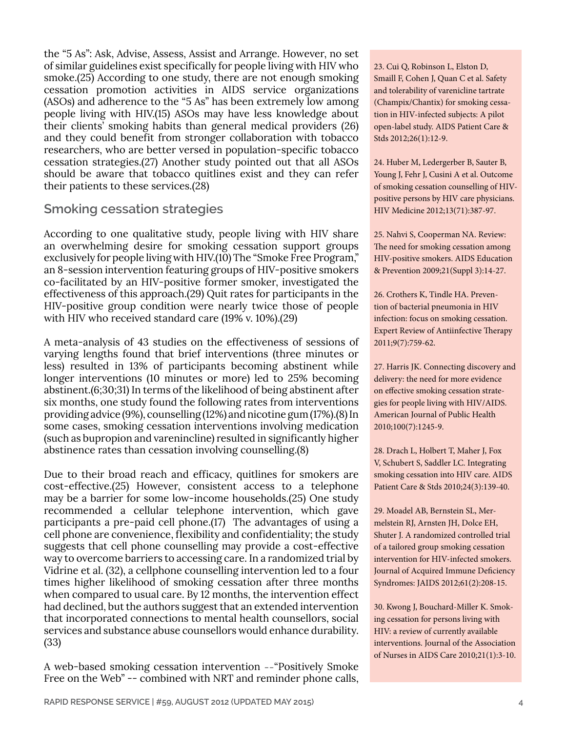the "5 As": Ask, Advise, Assess, Assist and Arrange. However, no set of similar guidelines exist specifically for people living with HIV who smoke.(25) According to one study, there are not enough smoking cessation promotion activities in AIDS service organizations (ASOs) and adherence to the "5 As" has been extremely low among people living with HIV.(15) ASOs may have less knowledge about their clients' smoking habits than general medical providers (26) and they could benefit from stronger collaboration with tobacco researchers, who are better versed in population-specific tobacco cessation strategies.(27) Another study pointed out that all ASOs should be aware that tobacco quitlines exist and they can refer their patients to these services.(28)

## **Smoking cessation strategies**

According to one qualitative study, people living with HIV share an overwhelming desire for smoking cessation support groups exclusively for people living with HIV.(10) The "Smoke Free Program," an 8-session intervention featuring groups of HIV-positive smokers co-facilitated by an HIV-positive former smoker, investigated the effectiveness of this approach.(29) Quit rates for participants in the HIV-positive group condition were nearly twice those of people with HIV who received standard care (19% v. 10%).(29)

A meta-analysis of 43 studies on the effectiveness of sessions of varying lengths found that brief interventions (three minutes or less) resulted in 13% of participants becoming abstinent while longer interventions (10 minutes or more) led to 25% becoming abstinent.(6;30;31) In terms of the likelihood of being abstinent after six months, one study found the following rates from interventions providing advice (9%), counselling (12%) and nicotine gum (17%).(8) In some cases, smoking cessation interventions involving medication (such as bupropion and varenincline) resulted in significantly higher abstinence rates than cessation involving counselling.(8)

Due to their broad reach and efficacy, quitlines for smokers are cost-effective.(25) However, consistent access to a telephone may be a barrier for some low-income households.(25) One study recommended a cellular telephone intervention, which gave participants a pre-paid cell phone.(17) The advantages of using a cell phone are convenience, flexibility and confidentiality; the study suggests that cell phone counselling may provide a cost-effective way to overcome barriers to accessing care. In a randomized trial by Vidrine et al. (32), a cellphone counselling intervention led to a four times higher likelihood of smoking cessation after three months when compared to usual care. By 12 months, the intervention effect had declined, but the authors suggest that an extended intervention that incorporated connections to mental health counsellors, social services and substance abuse counsellors would enhance durability. (33)

A web-based smoking cessation intervention --"Positively Smoke Free on the Web" -- combined with NRT and reminder phone calls, 23. Cui Q, Robinson L, Elston D, Smaill F, Cohen J, Quan C et al. Safety and tolerability of varenicline tartrate (Champix/Chantix) for smoking cessation in HIV-infected subjects: A pilot open-label study. AIDS Patient Care & Stds 2012;26(1):12-9.

24. Huber M, Ledergerber B, Sauter B, Young J, Fehr J, Cusini A et al. Outcome of smoking cessation counselling of HIVpositive persons by HIV care physicians. HIV Medicine 2012;13(71):387-97.

25. Nahvi S, Cooperman NA. Review: The need for smoking cessation among HIV-positive smokers. AIDS Education & Prevention 2009;21(Suppl 3):14-27.

26. Crothers K, Tindle HA. Prevention of bacterial pneumonia in HIV infection: focus on smoking cessation. Expert Review of Antiinfective Therapy 2011;9(7):759-62.

27. Harris JK. Connecting discovery and delivery: the need for more evidence on effective smoking cessation strategies for people living with HIV/AIDS. American Journal of Public Health 2010;100(7):1245-9.

28. Drach L, Holbert T, Maher J, Fox V, Schubert S, Saddler LC. Integrating smoking cessation into HIV care. AIDS Patient Care & Stds 2010;24(3):139-40.

29. Moadel AB, Bernstein SL, Mermelstein RJ, Arnsten JH, Dolce EH, Shuter J. A randomized controlled trial of a tailored group smoking cessation intervention for HIV-infected smokers. Journal of Acquired Immune Deficiency Syndromes: JAIDS 2012;61(2):208-15.

30. Kwong J, Bouchard-Miller K. Smoking cessation for persons living with HIV: a review of currently available interventions. Journal of the Association of Nurses in AIDS Care 2010;21(1):3-10.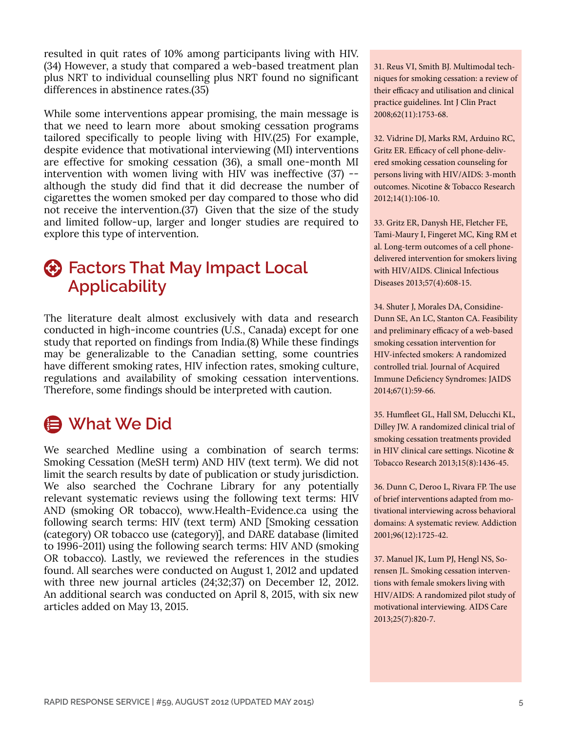resulted in quit rates of 10% among participants living with HIV. (34) However, a study that compared a web-based treatment plan plus NRT to individual counselling plus NRT found no significant differences in abstinence rates.(35)

While some interventions appear promising, the main message is that we need to learn more about smoking cessation programs tailored specifically to people living with HIV.(25) For example, despite evidence that motivational interviewing (MI) interventions are effective for smoking cessation (36), a small one-month MI intervention with women living with HIV was ineffective (37) - although the study did find that it did decrease the number of cigarettes the women smoked per day compared to those who did not receive the intervention.(37) Given that the size of the study and limited follow-up, larger and longer studies are required to explore this type of intervention.

## **Factors That May Impact Local Applicability**

The literature dealt almost exclusively with data and research conducted in high-income countries (U.S., Canada) except for one study that reported on findings from India.(8) While these findings may be generalizable to the Canadian setting, some countries have different smoking rates, HIV infection rates, smoking culture, regulations and availability of smoking cessation interventions. Therefore, some findings should be interpreted with caution.

## **What We Did**

We searched Medline using a combination of search terms: Smoking Cessation (MeSH term) AND HIV (text term). We did not limit the search results by date of publication or study jurisdiction. We also searched the Cochrane Library for any potentially relevant systematic reviews using the following text terms: HIV AND (smoking OR tobacco), www.Health-Evidence.ca using the following search terms: HIV (text term) AND [Smoking cessation (category) OR tobacco use (category)], and DARE database (limited to 1996-2011) using the following search terms: HIV AND (smoking OR tobacco). Lastly, we reviewed the references in the studies found. All searches were conducted on August 1, 2012 and updated with three new journal articles (24;32;37) on December 12, 2012. An additional search was conducted on April 8, 2015, with six new articles added on May 13, 2015.

31. Reus VI, Smith BJ. Multimodal techniques for smoking cessation: a review of their efficacy and utilisation and clinical practice guidelines. Int J Clin Pract 2008;62(11):1753-68.

32. Vidrine DJ, Marks RM, Arduino RC, Gritz ER. Efficacy of cell phone-delivered smoking cessation counseling for persons living with HIV/AIDS: 3-month outcomes. Nicotine & Tobacco Research 2012;14(1):106-10.

33. Gritz ER, Danysh HE, Fletcher FE, Tami-Maury I, Fingeret MC, King RM et al. Long-term outcomes of a cell phonedelivered intervention for smokers living with HIV/AIDS. Clinical Infectious Diseases 2013;57(4):608-15.

34. Shuter J, Morales DA, Considine-Dunn SE, An LC, Stanton CA. Feasibility and preliminary efficacy of a web-based smoking cessation intervention for HIV-infected smokers: A randomized controlled trial. Journal of Acquired Immune Deficiency Syndromes: JAIDS 2014;67(1):59-66.

35. Humfleet GL, Hall SM, Delucchi KL, Dilley JW. A randomized clinical trial of smoking cessation treatments provided in HIV clinical care settings. Nicotine & Tobacco Research 2013;15(8):1436-45.

36. Dunn C, Deroo L, Rivara FP. The use of brief interventions adapted from motivational interviewing across behavioral domains: A systematic review. Addiction 2001;96(12):1725-42.

37. Manuel JK, Lum PJ, Hengl NS, Sorensen JL. Smoking cessation interventions with female smokers living with HIV/AIDS: A randomized pilot study of motivational interviewing. AIDS Care 2013;25(7):820-7.